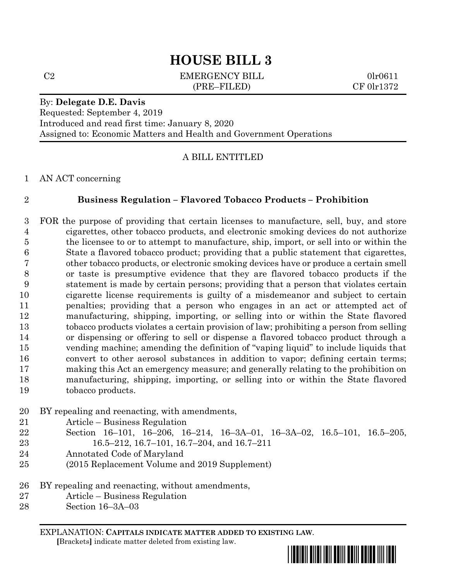C2 EMERGENCY BILL 0lr0611 (PRE–FILED) CF 0lr1372

#### By: **Delegate D.E. Davis**

Requested: September 4, 2019 Introduced and read first time: January 8, 2020 Assigned to: Economic Matters and Health and Government Operations

### A BILL ENTITLED

AN ACT concerning

### **Business Regulation – Flavored Tobacco Products – Prohibition**

 FOR the purpose of providing that certain licenses to manufacture, sell, buy, and store cigarettes, other tobacco products, and electronic smoking devices do not authorize the licensee to or to attempt to manufacture, ship, import, or sell into or within the State a flavored tobacco product; providing that a public statement that cigarettes, other tobacco products, or electronic smoking devices have or produce a certain smell or taste is presumptive evidence that they are flavored tobacco products if the statement is made by certain persons; providing that a person that violates certain cigarette license requirements is guilty of a misdemeanor and subject to certain penalties; providing that a person who engages in an act or attempted act of manufacturing, shipping, importing, or selling into or within the State flavored tobacco products violates a certain provision of law; prohibiting a person from selling or dispensing or offering to sell or dispense a flavored tobacco product through a vending machine; amending the definition of "vaping liquid" to include liquids that convert to other aerosol substances in addition to vapor; defining certain terms; making this Act an emergency measure; and generally relating to the prohibition on manufacturing, shipping, importing, or selling into or within the State flavored tobacco products.

- BY repealing and reenacting, with amendments,
- Article Business Regulation
- Section 16–101, 16–206, 16–214, 16–3A–01, 16–3A–02, 16.5–101, 16.5–205,
- 16.5–212, 16.7–101, 16.7–204, and 16.7–211
- Annotated Code of Maryland
- (2015 Replacement Volume and 2019 Supplement)
- BY repealing and reenacting, without amendments,
- Article Business Regulation
- Section 16–3A–03

EXPLANATION: **CAPITALS INDICATE MATTER ADDED TO EXISTING LAW**.

 **[**Brackets**]** indicate matter deleted from existing law.

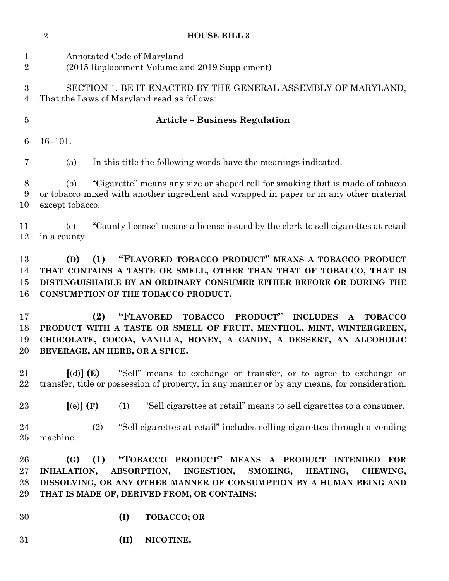|                                | $\sqrt{2}$                                 | <b>HOUSE BILL 3</b>                                                                                                                                                                                                                                                                 |
|--------------------------------|--------------------------------------------|-------------------------------------------------------------------------------------------------------------------------------------------------------------------------------------------------------------------------------------------------------------------------------------|
| $\mathbf{1}$<br>$\overline{2}$ |                                            | Annotated Code of Maryland<br>(2015 Replacement Volume and 2019 Supplement)                                                                                                                                                                                                         |
| 3<br>$\overline{4}$            |                                            | SECTION 1. BE IT ENACTED BY THE GENERAL ASSEMBLY OF MARYLAND,<br>That the Laws of Maryland read as follows:                                                                                                                                                                         |
| $\overline{5}$                 |                                            | <b>Article - Business Regulation</b>                                                                                                                                                                                                                                                |
| 6                              | $16 - 101.$                                |                                                                                                                                                                                                                                                                                     |
| 7                              | (a)                                        | In this title the following words have the meanings indicated.                                                                                                                                                                                                                      |
| $8\,$<br>9<br>10               | (b)<br>except tobacco.                     | "Cigarette" means any size or shaped roll for smoking that is made of tobacco<br>or tobacco mixed with another ingredient and wrapped in paper or in any other material                                                                                                             |
| 11<br>12                       | $\left( \mathrm{c}\right)$<br>in a county. | "County license" means a license issued by the clerk to sell cigarettes at retail                                                                                                                                                                                                   |
| 13<br>14<br>15<br>16           | (D)                                        | "FLAVORED TOBACCO PRODUCT" MEANS A TOBACCO PRODUCT<br>(1)<br>THAT CONTAINS A TASTE OR SMELL, OTHER THAN THAT OF TOBACCO, THAT IS<br>DISTINGUISHABLE BY AN ORDINARY CONSUMER EITHER BEFORE OR DURING THE<br>CONSUMPTION OF THE TOBACCO PRODUCT.                                      |
| 17<br>18<br>19<br>20           |                                            | <b>TOBACCO</b><br>PRODUCT"<br>(2)<br>"FLAVORED"<br><b>INCLUDES</b><br><b>TOBACCO</b><br>$\mathbf{A}$<br>PRODUCT WITH A TASTE OR SMELL OF FRUIT, MENTHOL, MINT, WINTERGREEN,<br>CHOCOLATE, COCOA, VANILLA, HONEY, A CANDY, A DESSERT, AN ALCOHOLIC<br>BEVERAGE, AN HERB, OR A SPICE. |
| 21<br>22                       | $\lbrack d) \rbrack$ (E)                   | "Sell" means to exchange or transfer, or to agree to exchange or<br>transfer, title or possession of property, in any manner or by any means, for consideration.                                                                                                                    |
| 23                             | [(e)](F)                                   | (1)<br>"Sell cigarettes at retail" means to sell cigarettes to a consumer.                                                                                                                                                                                                          |
| 24<br>25                       | machine.                                   | (2)<br>"Sell cigarettes at retail" includes selling cigarettes through a vending                                                                                                                                                                                                    |
| 26<br>27<br>28<br>29           | (G)<br>INHALATION,                         | "TOBACCO PRODUCT" MEANS A PRODUCT INTENDED<br>(1)<br>$\bf FOR$<br><b>ABSORPTION,</b><br>INGESTION,<br>SMOKING,<br>HEATING,<br>CHEWING,<br>DISSOLVING, OR ANY OTHER MANNER OF CONSUMPTION BY A HUMAN BEING AND<br>THAT IS MADE OF, DERIVED FROM, OR CONTAINS:                        |
| 30                             |                                            | (I)<br><b>TOBACCO; OR</b>                                                                                                                                                                                                                                                           |
| 31                             |                                            | (II)<br>NICOTINE.                                                                                                                                                                                                                                                                   |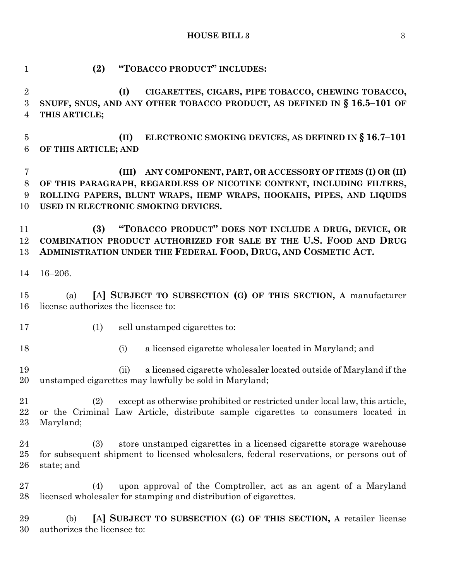| 1                                 | "TOBACCO PRODUCT" INCLUDES:<br>(2)                                                                                                                                                                                                                      |
|-----------------------------------|---------------------------------------------------------------------------------------------------------------------------------------------------------------------------------------------------------------------------------------------------------|
| $\overline{2}$<br>3<br>4          | CIGARETTES, CIGARS, PIPE TOBACCO, CHEWING TOBACCO,<br>(I)<br>SNUFF, SNUS, AND ANY OTHER TOBACCO PRODUCT, AS DEFINED IN § 16.5-101 OF<br>THIS ARTICLE;                                                                                                   |
| $\overline{5}$<br>$6\phantom{.}6$ | ELECTRONIC SMOKING DEVICES, AS DEFINED IN § 16.7-101<br>(II)<br>OF THIS ARTICLE; AND                                                                                                                                                                    |
| 7<br>8<br>9<br>10                 | ANY COMPONENT, PART, OR ACCESSORY OF ITEMS (I) OR (II)<br>(III)<br>OF THIS PARAGRAPH, REGARDLESS OF NICOTINE CONTENT, INCLUDING FILTERS,<br>ROLLING PAPERS, BLUNT WRAPS, HEMP WRAPS, HOOKAHS, PIPES, AND LIQUIDS<br>USED IN ELECTRONIC SMOKING DEVICES. |
| 11<br>12<br>13                    | "TOBACCO PRODUCT" DOES NOT INCLUDE A DRUG, DEVICE, OR<br>(3)<br>COMBINATION PRODUCT AUTHORIZED FOR SALE BY THE U.S. FOOD AND DRUG<br>ADMINISTRATION UNDER THE FEDERAL FOOD, DRUG, AND COSMETIC ACT.                                                     |
| 14                                | $16 - 206.$                                                                                                                                                                                                                                             |
| 15<br>16                          | [A] SUBJECT TO SUBSECTION (G) OF THIS SECTION, A manufacturer<br>(a)<br>license authorizes the licensee to:                                                                                                                                             |
| 17                                | (1)<br>sell unstamped cigarettes to:                                                                                                                                                                                                                    |
| 18                                | a licensed cigarette wholesaler located in Maryland; and<br>(i)                                                                                                                                                                                         |
| 19<br>20                          | a licensed cigarette wholesaler located outside of Maryland if the<br>(ii)<br>unstamped cigarettes may lawfully be sold in Maryland;                                                                                                                    |
| 21<br>22<br>23                    | (2)<br>except as otherwise prohibited or restricted under local law, this article,<br>or the Criminal Law Article, distribute sample cigarettes to consumers located in<br>Maryland;                                                                    |
| $\bf{24}$<br>25<br>26             | store unstamped cigarettes in a licensed cigarette storage warehouse<br>(3)<br>for subsequent shipment to licensed wholesalers, federal reservations, or persons out of<br>state; and                                                                   |
| 27<br>28                          | upon approval of the Comptroller, act as an agent of a Maryland<br>(4)<br>licensed wholesaler for stamping and distribution of cigarettes.                                                                                                              |
| 29                                | [A] SUBJECT TO SUBSECTION (G) OF THIS SECTION, A retailer license<br>(b)                                                                                                                                                                                |

authorizes the licensee to: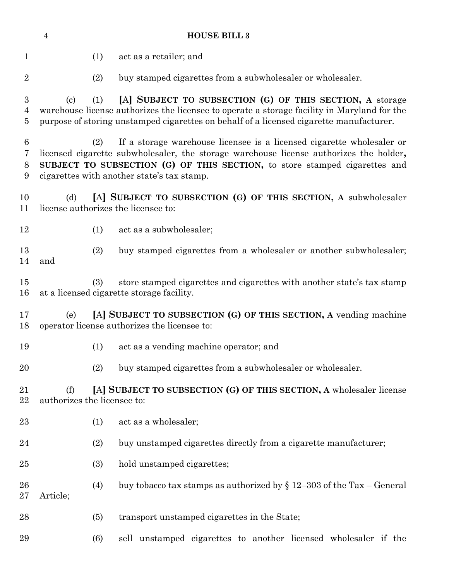| <b>HOUSE BILL 3</b><br>$\overline{4}$ |                                    |     |                                                                                                                                                                                                                                                                                             |
|---------------------------------------|------------------------------------|-----|---------------------------------------------------------------------------------------------------------------------------------------------------------------------------------------------------------------------------------------------------------------------------------------------|
| $\mathbf 1$                           |                                    | (1) | act as a retailer; and                                                                                                                                                                                                                                                                      |
| $\overline{2}$                        |                                    | (2) | buy stamped cigarettes from a subwholesaler or wholesaler.                                                                                                                                                                                                                                  |
| 3<br>4<br>$\overline{5}$              | $\left( \mathrm{c}\right)$         | (1) | [A] SUBJECT TO SUBSECTION (G) OF THIS SECTION, A storage<br>warehouse license authorizes the licensee to operate a storage facility in Maryland for the<br>purpose of storing unstamped cigarettes on behalf of a licensed cigarette manufacturer.                                          |
| $6\phantom{.}6$<br>7<br>8<br>9        |                                    | (2) | If a storage warehouse licensee is a licensed cigarette wholesaler or<br>licensed cigarette subwholesaler, the storage warehouse license authorizes the holder,<br>SUBJECT TO SUBSECTION (G) OF THIS SECTION, to store stamped cigarettes and<br>cigarettes with another state's tax stamp. |
| 10<br>11                              | (d)                                |     | [A] SUBJECT TO SUBSECTION (G) OF THIS SECTION, A subwholesaler<br>license authorizes the licensee to:                                                                                                                                                                                       |
| 12                                    |                                    | (1) | act as a subwholesaler;                                                                                                                                                                                                                                                                     |
| 13<br>14                              | and                                | (2) | buy stamped cigarettes from a wholesaler or another subwholesaler;                                                                                                                                                                                                                          |
| 15<br>16                              |                                    | (3) | store stamped cigarettes and cigarettes with another state's tax stamp<br>at a licensed cigarette storage facility.                                                                                                                                                                         |
| 17<br>18                              | (e)                                |     | [A] SUBJECT TO SUBSECTION (G) OF THIS SECTION, A vending machine<br>operator license authorizes the licensee to:                                                                                                                                                                            |
| 19                                    |                                    | (1) | act as a vending machine operator; and                                                                                                                                                                                                                                                      |
| 20                                    |                                    | (2) | buy stamped cigarettes from a subwholesaler or wholesaler.                                                                                                                                                                                                                                  |
| 21<br>22                              | (f)<br>authorizes the licensee to: |     | [A] SUBJECT TO SUBSECTION (G) OF THIS SECTION, A wholesaler license                                                                                                                                                                                                                         |
| 23                                    |                                    | (1) | act as a wholesaler;                                                                                                                                                                                                                                                                        |
| 24                                    |                                    | (2) | buy unstamped cigarettes directly from a cigarette manufacturer;                                                                                                                                                                                                                            |
| 25                                    |                                    | (3) | hold unstamped cigarettes;                                                                                                                                                                                                                                                                  |
| 26<br>27                              | Article;                           | (4) | buy tobacco tax stamps as authorized by $\S 12-303$ of the Tax – General                                                                                                                                                                                                                    |
| 28                                    |                                    | (5) | transport unstamped cigarettes in the State;                                                                                                                                                                                                                                                |
| 29                                    |                                    | (6) | sell unstamped cigarettes to another licensed wholesaler if the                                                                                                                                                                                                                             |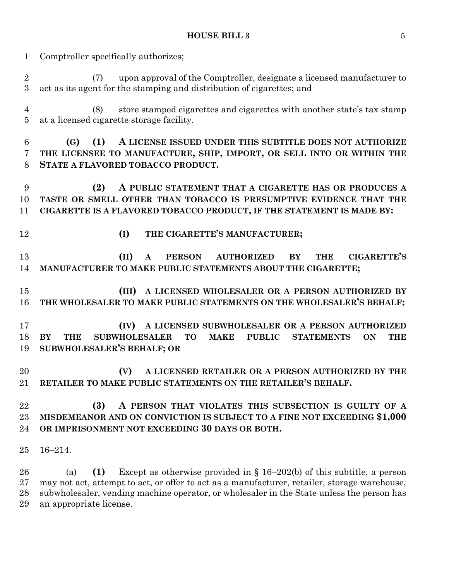Comptroller specifically authorizes;

 (7) upon approval of the Comptroller, designate a licensed manufacturer to act as its agent for the stamping and distribution of cigarettes; and

 (8) store stamped cigarettes and cigarettes with another state's tax stamp at a licensed cigarette storage facility.

 **(G) (1) A LICENSE ISSUED UNDER THIS SUBTITLE DOES NOT AUTHORIZE THE LICENSEE TO MANUFACTURE, SHIP, IMPORT, OR SELL INTO OR WITHIN THE STATE A FLAVORED TOBACCO PRODUCT.**

 **(2) A PUBLIC STATEMENT THAT A CIGARETTE HAS OR PRODUCES A TASTE OR SMELL OTHER THAN TOBACCO IS PRESUMPTIVE EVIDENCE THAT THE CIGARETTE IS A FLAVORED TOBACCO PRODUCT, IF THE STATEMENT IS MADE BY:**

- 
- **(I) THE CIGARETTE'S MANUFACTURER;**

 **(II) A PERSON AUTHORIZED BY THE CIGARETTE'S MANUFACTURER TO MAKE PUBLIC STATEMENTS ABOUT THE CIGARETTE;**

 **(III) A LICENSED WHOLESALER OR A PERSON AUTHORIZED BY THE WHOLESALER TO MAKE PUBLIC STATEMENTS ON THE WHOLESALER'S BEHALF;**

 **(IV) A LICENSED SUBWHOLESALER OR A PERSON AUTHORIZED BY THE SUBWHOLESALER TO MAKE PUBLIC STATEMENTS ON THE SUBWHOLESALER'S BEHALF; OR**

 **(V) A LICENSED RETAILER OR A PERSON AUTHORIZED BY THE RETAILER TO MAKE PUBLIC STATEMENTS ON THE RETAILER'S BEHALF.**

### **(3) A PERSON THAT VIOLATES THIS SUBSECTION IS GUILTY OF A MISDEMEANOR AND ON CONVICTION IS SUBJECT TO A FINE NOT EXCEEDING \$1,000 OR IMPRISONMENT NOT EXCEEDING 30 DAYS OR BOTH.**

16–214.

 (a) **(1)** Except as otherwise provided in § 16–202(b) of this subtitle, a person may not act, attempt to act, or offer to act as a manufacturer, retailer, storage warehouse, subwholesaler, vending machine operator, or wholesaler in the State unless the person has an appropriate license.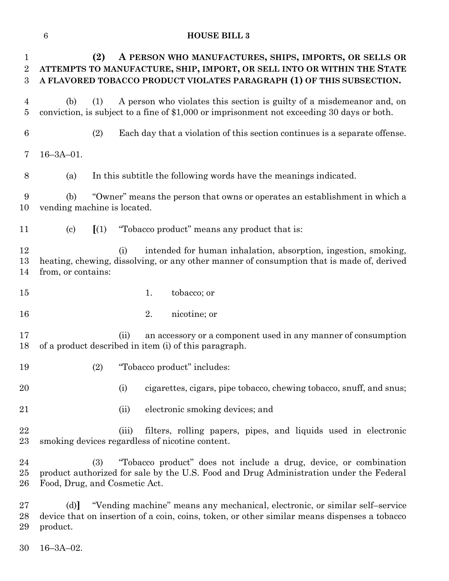| $\mathbf 1$<br>$\overline{2}$<br>$\boldsymbol{3}$ | (2)<br>A PERSON WHO MANUFACTURES, SHIPS, IMPORTS, OR SELLS OR<br>ATTEMPTS TO MANUFACTURE, SHIP, IMPORT, OR SELL INTO OR WITHIN THE STATE<br>A FLAVORED TOBACCO PRODUCT VIOLATES PARAGRAPH (1) OF THIS SUBSECTION. |
|---------------------------------------------------|-------------------------------------------------------------------------------------------------------------------------------------------------------------------------------------------------------------------|
| 4<br>$\bf 5$                                      | A person who violates this section is guilty of a misdemean or and, on<br>(b)<br>(1)<br>conviction, is subject to a fine of \$1,000 or imprisonment not exceeding 30 days or both.                                |
| $6\phantom{.}6$                                   | Each day that a violation of this section continues is a separate offense.<br>(2)                                                                                                                                 |
| 7                                                 | $16 - 3A - 01$ .                                                                                                                                                                                                  |
| 8                                                 | In this subtitle the following words have the meanings indicated.<br>(a)                                                                                                                                          |
| 9<br>10                                           | "Owner" means the person that owns or operates an establishment in which a<br>(b)<br>vending machine is located.                                                                                                  |
| 11                                                | "Tobacco product" means any product that is:<br>$\left( \text{c} \right)$<br>(1)                                                                                                                                  |
| 12<br>13<br>14                                    | intended for human inhalation, absorption, ingestion, smoking,<br>(i)<br>heating, chewing, dissolving, or any other manner of consumption that is made of, derived<br>from, or contains:                          |
| 15                                                | 1.<br>tobacco; or                                                                                                                                                                                                 |
| 16                                                | 2.<br>nicotine; or                                                                                                                                                                                                |
| 17<br>18                                          | an accessory or a component used in any manner of consumption<br>(ii)<br>of a product described in item (i) of this paragraph.                                                                                    |
| 19                                                | "Tobacco product" includes:<br>(2)                                                                                                                                                                                |
| 20                                                | cigarettes, cigars, pipe tobacco, chewing tobacco, snuff, and snus;<br>(i)                                                                                                                                        |
| 21                                                | electronic smoking devices; and<br>(ii)                                                                                                                                                                           |
| 22<br>23                                          | filters, rolling papers, pipes, and liquids used in electronic<br>(iii)<br>smoking devices regardless of nicotine content.                                                                                        |
| 24<br>25<br>26                                    | "Tobacco product" does not include a drug, device, or combination<br>(3)<br>product authorized for sale by the U.S. Food and Drug Administration under the Federal<br>Food, Drug, and Cosmetic Act.               |
| 27                                                | "Vending machine" means any mechanical, electronic, or similar self-service<br>(d)                                                                                                                                |

28 device that on insertion of a coin, coins, token, or other similar means dispenses a tobacco product. product.

16–3A–02.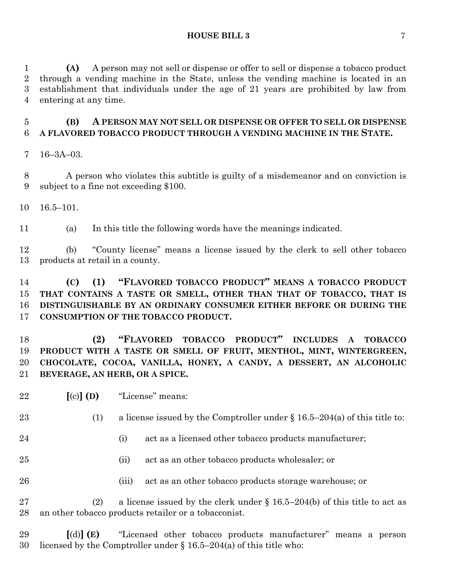**(A)** A person may not sell or dispense or offer to sell or dispense a tobacco product through a vending machine in the State, unless the vending machine is located in an establishment that individuals under the age of 21 years are prohibited by law from entering at any time.

# **(B) A PERSON MAY NOT SELL OR DISPENSE OR OFFER TO SELL OR DISPENSE A FLAVORED TOBACCO PRODUCT THROUGH A VENDING MACHINE IN THE STATE.**

16–3A–03.

 A person who violates this subtitle is guilty of a misdemeanor and on conviction is subject to a fine not exceeding \$100.

16.5–101.

(a) In this title the following words have the meanings indicated.

 (b) "County license" means a license issued by the clerk to sell other tobacco products at retail in a county.

### **(C) (1) "FLAVORED TOBACCO PRODUCT" MEANS A TOBACCO PRODUCT THAT CONTAINS A TASTE OR SMELL, OTHER THAN THAT OF TOBACCO, THAT IS DISTINGUISHABLE BY AN ORDINARY CONSUMER EITHER BEFORE OR DURING THE CONSUMPTION OF THE TOBACCO PRODUCT.**

 **(2) "FLAVORED TOBACCO PRODUCT" INCLUDES A TOBACCO PRODUCT WITH A TASTE OR SMELL OF FRUIT, MENTHOL, MINT, WINTERGREEN, CHOCOLATE, COCOA, VANILLA, HONEY, A CANDY, A DESSERT, AN ALCOHOLIC BEVERAGE, AN HERB, OR A SPICE.**

**[**(c)**] (D)** "License" means:

23 (1) a license issued by the Comptroller under  $\S 16.5-204(a)$  of this title to:

- 24 (i) act as a licensed other tobacco products manufacturer;
- (ii) act as an other tobacco products wholesaler; or
- 26 (iii) act as an other tobacco products storage warehouse; or

27 (2) a license issued by the clerk under  $\S 16.5-204(b)$  of this title to act as an other tobacco products retailer or a tobacconist.

 **[**(d)**] (E)** "Licensed other tobacco products manufacturer" means a person licensed by the Comptroller under § 16.5–204(a) of this title who: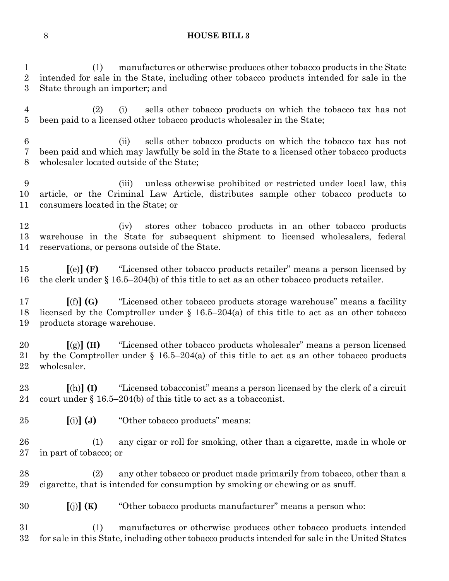(1) manufactures or otherwise produces other tobacco products in the State intended for sale in the State, including other tobacco products intended for sale in the State through an importer; and

 (2) (i) sells other tobacco products on which the tobacco tax has not been paid to a licensed other tobacco products wholesaler in the State;

 (ii) sells other tobacco products on which the tobacco tax has not been paid and which may lawfully be sold in the State to a licensed other tobacco products wholesaler located outside of the State;

 (iii) unless otherwise prohibited or restricted under local law, this article, or the Criminal Law Article, distributes sample other tobacco products to consumers located in the State; or

 (iv) stores other tobacco products in an other tobacco products warehouse in the State for subsequent shipment to licensed wholesalers, federal reservations, or persons outside of the State.

 **[**(e)**] (F)** "Licensed other tobacco products retailer" means a person licensed by the clerk under § 16.5–204(b) of this title to act as an other tobacco products retailer.

 **[**(f)**] (G)** "Licensed other tobacco products storage warehouse" means a facility licensed by the Comptroller under § 16.5–204(a) of this title to act as an other tobacco products storage warehouse.

 **[**(g)**] (H)** "Licensed other tobacco products wholesaler" means a person licensed by the Comptroller under § 16.5–204(a) of this title to act as an other tobacco products wholesaler.

 **[**(h)**] (I)** "Licensed tobacconist" means a person licensed by the clerk of a circuit court under § 16.5–204(b) of this title to act as a tobacconist.

**[**(i)**] (J)** "Other tobacco products" means:

 (1) any cigar or roll for smoking, other than a cigarette, made in whole or in part of tobacco; or

 (2) any other tobacco or product made primarily from tobacco, other than a cigarette, that is intended for consumption by smoking or chewing or as snuff.

**[**(j)**] (K)** "Other tobacco products manufacturer" means a person who:

 (1) manufactures or otherwise produces other tobacco products intended for sale in this State, including other tobacco products intended for sale in the United States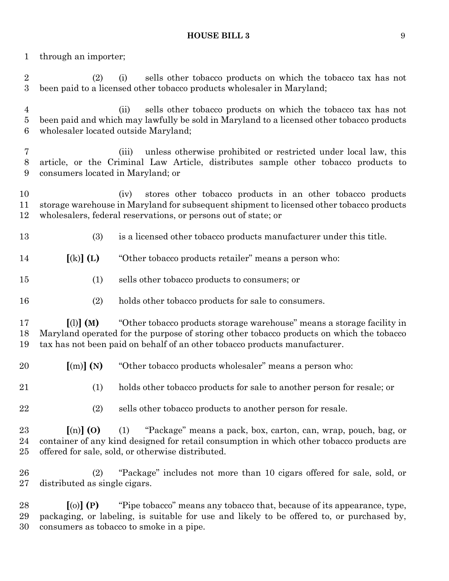through an importer;

 (2) (i) sells other tobacco products on which the tobacco tax has not been paid to a licensed other tobacco products wholesaler in Maryland; (ii) sells other tobacco products on which the tobacco tax has not been paid and which may lawfully be sold in Maryland to a licensed other tobacco products wholesaler located outside Maryland; (iii) unless otherwise prohibited or restricted under local law, this article, or the Criminal Law Article, distributes sample other tobacco products to consumers located in Maryland; or (iv) stores other tobacco products in an other tobacco products storage warehouse in Maryland for subsequent shipment to licensed other tobacco products wholesalers, federal reservations, or persons out of state; or (3) is a licensed other tobacco products manufacturer under this title. **[**(k)**] (L)** "Other tobacco products retailer" means a person who: (1) sells other tobacco products to consumers; or (2) holds other tobacco products for sale to consumers. **[**(l)**] (M)** "Other tobacco products storage warehouse" means a storage facility in Maryland operated for the purpose of storing other tobacco products on which the tobacco tax has not been paid on behalf of an other tobacco products manufacturer. **[**(m)**] (N)** "Other tobacco products wholesaler" means a person who: (1) holds other tobacco products for sale to another person for resale; or (2) sells other tobacco products to another person for resale. **[**(n)**] (O)** (1) "Package" means a pack, box, carton, can, wrap, pouch, bag, or container of any kind designed for retail consumption in which other tobacco products are offered for sale, sold, or otherwise distributed. (2) "Package" includes not more than 10 cigars offered for sale, sold, or distributed as single cigars. **[**(o)**] (P)** "Pipe tobacco" means any tobacco that, because of its appearance, type, packaging, or labeling, is suitable for use and likely to be offered to, or purchased by, consumers as tobacco to smoke in a pipe.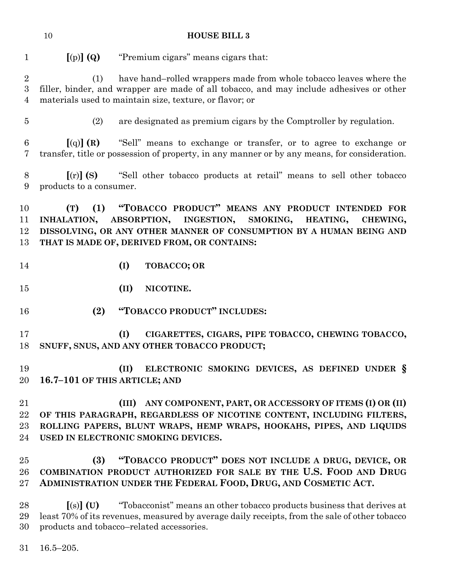| 10 | <b>HOUSE BILL 3</b> |
|----|---------------------|
|    |                     |

**[**(p)**] (Q)** "Premium cigars" means cigars that:

 (1) have hand–rolled wrappers made from whole tobacco leaves where the filler, binder, and wrapper are made of all tobacco, and may include adhesives or other materials used to maintain size, texture, or flavor; or

(2) are designated as premium cigars by the Comptroller by regulation.

 **[**(q)**] (R)** "Sell" means to exchange or transfer, or to agree to exchange or transfer, title or possession of property, in any manner or by any means, for consideration.

 **[**(r)**] (S)** "Sell other tobacco products at retail" means to sell other tobacco products to a consumer.

 **(T) (1) "TOBACCO PRODUCT" MEANS ANY PRODUCT INTENDED FOR INHALATION, ABSORPTION, INGESTION, SMOKING, HEATING, CHEWING, DISSOLVING, OR ANY OTHER MANNER OF CONSUMPTION BY A HUMAN BEING AND THAT IS MADE OF, DERIVED FROM, OR CONTAINS:**

- **(I) TOBACCO; OR**
- **(II) NICOTINE.**
- **(2) "TOBACCO PRODUCT" INCLUDES:**
- **(I) CIGARETTES, CIGARS, PIPE TOBACCO, CHEWING TOBACCO, SNUFF, SNUS, AND ANY OTHER TOBACCO PRODUCT;**

 **(II) ELECTRONIC SMOKING DEVICES, AS DEFINED UNDER § 16.7–101 OF THIS ARTICLE; AND**

 **(III) ANY COMPONENT, PART, OR ACCESSORY OF ITEMS (I) OR (II) OF THIS PARAGRAPH, REGARDLESS OF NICOTINE CONTENT, INCLUDING FILTERS, ROLLING PAPERS, BLUNT WRAPS, HEMP WRAPS, HOOKAHS, PIPES, AND LIQUIDS USED IN ELECTRONIC SMOKING DEVICES.**

# **(3) "TOBACCO PRODUCT" DOES NOT INCLUDE A DRUG, DEVICE, OR COMBINATION PRODUCT AUTHORIZED FOR SALE BY THE U.S. FOOD AND DRUG ADMINISTRATION UNDER THE FEDERAL FOOD, DRUG, AND COSMETIC ACT.**

 **[**(s)**] (U)** "Tobacconist" means an other tobacco products business that derives at least 70% of its revenues, measured by average daily receipts, from the sale of other tobacco products and tobacco–related accessories.

16.5–205.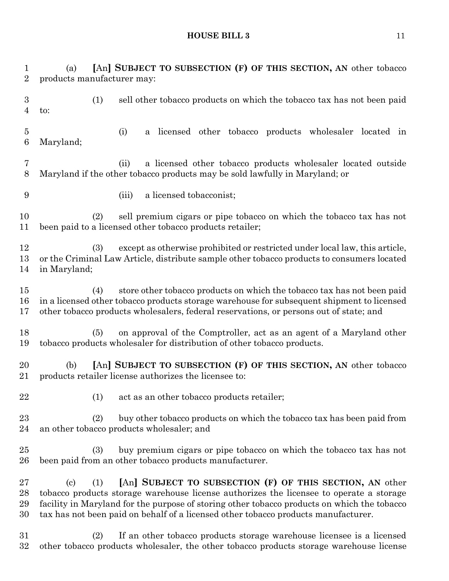(a) **[**An**] SUBJECT TO SUBSECTION (F) OF THIS SECTION, AN** other tobacco products manufacturer may: (1) sell other tobacco products on which the tobacco tax has not been paid to: (i) a licensed other tobacco products wholesaler located in Maryland; (ii) a licensed other tobacco products wholesaler located outside Maryland if the other tobacco products may be sold lawfully in Maryland; or (iii) a licensed tobacconist; (2) sell premium cigars or pipe tobacco on which the tobacco tax has not been paid to a licensed other tobacco products retailer; (3) except as otherwise prohibited or restricted under local law, this article, or the Criminal Law Article, distribute sample other tobacco products to consumers located in Maryland; (4) store other tobacco products on which the tobacco tax has not been paid in a licensed other tobacco products storage warehouse for subsequent shipment to licensed other tobacco products wholesalers, federal reservations, or persons out of state; and (5) on approval of the Comptroller, act as an agent of a Maryland other tobacco products wholesaler for distribution of other tobacco products. (b) **[**An**] SUBJECT TO SUBSECTION (F) OF THIS SECTION, AN** other tobacco products retailer license authorizes the licensee to: 22 (1) act as an other tobacco products retailer; (2) buy other tobacco products on which the tobacco tax has been paid from an other tobacco products wholesaler; and (3) buy premium cigars or pipe tobacco on which the tobacco tax has not been paid from an other tobacco products manufacturer. (c) (1) **[**An**] SUBJECT TO SUBSECTION (F) OF THIS SECTION, AN** other tobacco products storage warehouse license authorizes the licensee to operate a storage facility in Maryland for the purpose of storing other tobacco products on which the tobacco tax has not been paid on behalf of a licensed other tobacco products manufacturer. (2) If an other tobacco products storage warehouse licensee is a licensed

other tobacco products wholesaler, the other tobacco products storage warehouse license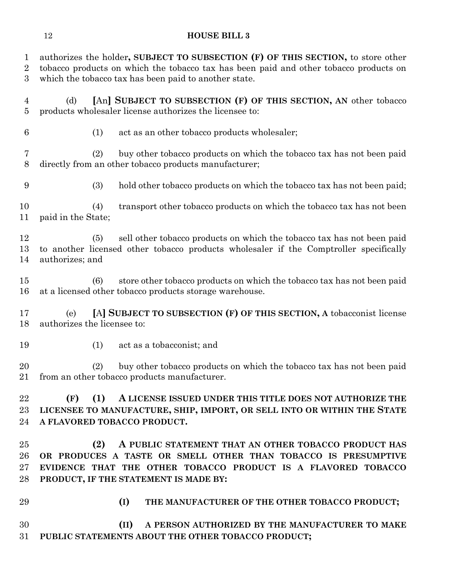authorizes the holder**, SUBJECT TO SUBSECTION (F) OF THIS SECTION,** to store other tobacco products on which the tobacco tax has been paid and other tobacco products on which the tobacco tax has been paid to another state.

- (d) **[**An**] SUBJECT TO SUBSECTION (F) OF THIS SECTION, AN** other tobacco products wholesaler license authorizes the licensee to:
- 

(1) act as an other tobacco products wholesaler;

 (2) buy other tobacco products on which the tobacco tax has not been paid directly from an other tobacco products manufacturer;

(3) hold other tobacco products on which the tobacco tax has not been paid;

 (4) transport other tobacco products on which the tobacco tax has not been paid in the State;

 (5) sell other tobacco products on which the tobacco tax has not been paid to another licensed other tobacco products wholesaler if the Comptroller specifically authorizes; and

 (6) store other tobacco products on which the tobacco tax has not been paid at a licensed other tobacco products storage warehouse.

 (e) **[**A**] SUBJECT TO SUBSECTION (F) OF THIS SECTION, A** tobacconist license authorizes the licensee to:

(1) act as a tobacconist; and

 (2) buy other tobacco products on which the tobacco tax has not been paid from an other tobacco products manufacturer.

 **(F) (1) A LICENSE ISSUED UNDER THIS TITLE DOES NOT AUTHORIZE THE LICENSEE TO MANUFACTURE, SHIP, IMPORT, OR SELL INTO OR WITHIN THE STATE A FLAVORED TOBACCO PRODUCT.**

 **(2) A PUBLIC STATEMENT THAT AN OTHER TOBACCO PRODUCT HAS OR PRODUCES A TASTE OR SMELL OTHER THAN TOBACCO IS PRESUMPTIVE EVIDENCE THAT THE OTHER TOBACCO PRODUCT IS A FLAVORED TOBACCO PRODUCT, IF THE STATEMENT IS MADE BY:**

- 
- **(I) THE MANUFACTURER OF THE OTHER TOBACCO PRODUCT;**

 **(II) A PERSON AUTHORIZED BY THE MANUFACTURER TO MAKE PUBLIC STATEMENTS ABOUT THE OTHER TOBACCO PRODUCT;**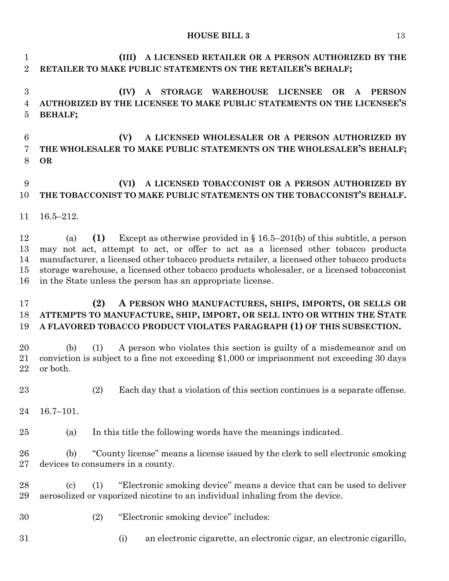**(III) A LICENSED RETAILER OR A PERSON AUTHORIZED BY THE RETAILER TO MAKE PUBLIC STATEMENTS ON THE RETAILER'S BEHALF; (IV) A STORAGE WAREHOUSE LICENSEE OR A PERSON AUTHORIZED BY THE LICENSEE TO MAKE PUBLIC STATEMENTS ON THE LICENSEE'S BEHALF; (V) A LICENSED WHOLESALER OR A PERSON AUTHORIZED BY THE WHOLESALER TO MAKE PUBLIC STATEMENTS ON THE WHOLESALER'S BEHALF; OR**

### **(VI) A LICENSED TOBACCONIST OR A PERSON AUTHORIZED BY THE TOBACCONIST TO MAKE PUBLIC STATEMENTS ON THE TOBACCONIST'S BEHALF.**

16.5–212.

 (a) **(1)** Except as otherwise provided in § 16.5–201(b) of this subtitle, a person may not act, attempt to act, or offer to act as a licensed other tobacco products manufacturer, a licensed other tobacco products retailer, a licensed other tobacco products storage warehouse, a licensed other tobacco products wholesaler, or a licensed tobacconist in the State unless the person has an appropriate license.

### **(2) A PERSON WHO MANUFACTURES, SHIPS, IMPORTS, OR SELLS OR ATTEMPTS TO MANUFACTURE, SHIP, IMPORT, OR SELL INTO OR WITHIN THE STATE A FLAVORED TOBACCO PRODUCT VIOLATES PARAGRAPH (1) OF THIS SUBSECTION.**

 (b) (1) A person who violates this section is guilty of a misdemeanor and on conviction is subject to a fine not exceeding \$1,000 or imprisonment not exceeding 30 days or both.

(2) Each day that a violation of this section continues is a separate offense.

16.7–101.

(a) In this title the following words have the meanings indicated.

 (b) "County license" means a license issued by the clerk to sell electronic smoking devices to consumers in a county.

 (c) (1) "Electronic smoking device" means a device that can be used to deliver aerosolized or vaporized nicotine to an individual inhaling from the device.

- (2) "Electronic smoking device" includes:
- 
- (i) an electronic cigarette, an electronic cigar, an electronic cigarillo,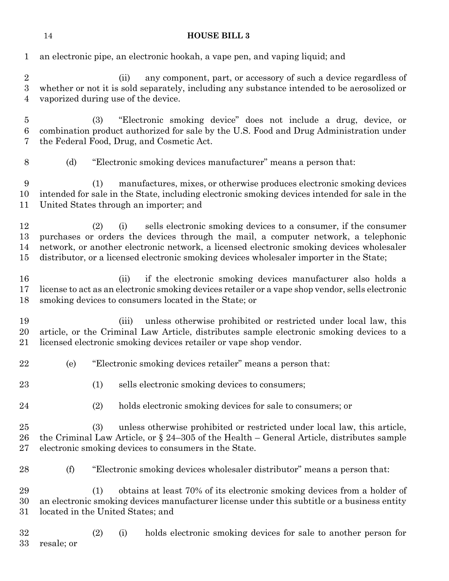| 1                                                | an electronic pipe, an electronic hookah, a vape pen, and vaping liquid; and                                                                                                                                                                                                                                                                               |
|--------------------------------------------------|------------------------------------------------------------------------------------------------------------------------------------------------------------------------------------------------------------------------------------------------------------------------------------------------------------------------------------------------------------|
| $\sqrt{2}$<br>$\boldsymbol{3}$<br>$\overline{4}$ | any component, part, or accessory of such a device regardless of<br>(ii)<br>whether or not it is sold separately, including any substance intended to be aerosolized or<br>vaporized during use of the device.                                                                                                                                             |
| $\overline{5}$<br>$\,6\,$<br>7                   | (3)<br>"Electronic smoking device" does not include a drug, device, or<br>combination product authorized for sale by the U.S. Food and Drug Administration under<br>the Federal Food, Drug, and Cosmetic Act.                                                                                                                                              |
| 8                                                | "Electronic smoking devices manufacturer" means a person that:<br>(d)                                                                                                                                                                                                                                                                                      |
| 9<br>10<br>11                                    | manufactures, mixes, or otherwise produces electronic smoking devices<br>(1)<br>intended for sale in the State, including electronic smoking devices intended for sale in the<br>United States through an importer; and                                                                                                                                    |
| 12<br>13<br>14<br>15                             | sells electronic smoking devices to a consumer, if the consumer<br>(2)<br>(i)<br>purchases or orders the devices through the mail, a computer network, a telephonic<br>network, or another electronic network, a licensed electronic smoking devices wholesaler<br>distributor, or a licensed electronic smoking devices wholesaler importer in the State; |
| 16<br>17<br>18                                   | if the electronic smoking devices manufacturer also holds a<br>(ii)<br>license to act as an electronic smoking devices retailer or a vape shop vendor, sells electronic<br>smoking devices to consumers located in the State; or                                                                                                                           |
| 19<br>20<br>21                                   | unless otherwise prohibited or restricted under local law, this<br>(iii)<br>article, or the Criminal Law Article, distributes sample electronic smoking devices to a<br>licensed electronic smoking devices retailer or vape shop vendor.                                                                                                                  |
| 22                                               | "Electronic smoking devices retailer" means a person that:<br>(e)                                                                                                                                                                                                                                                                                          |
| 23                                               | sells electronic smoking devices to consumers;<br>(1)                                                                                                                                                                                                                                                                                                      |
| 24                                               | (2)<br>holds electronic smoking devices for sale to consumers; or                                                                                                                                                                                                                                                                                          |
| 25<br>26<br>27                                   | (3)<br>unless otherwise prohibited or restricted under local law, this article,<br>the Criminal Law Article, or $\S 24-305$ of the Health - General Article, distributes sample<br>electronic smoking devices to consumers in the State.                                                                                                                   |
| 28                                               | (f)<br>"Electronic smoking devices wholesaler distributor" means a person that:                                                                                                                                                                                                                                                                            |
| 29<br>30<br>31                                   | obtains at least 70% of its electronic smoking devices from a holder of<br>(1)<br>an electronic smoking devices manufacturer license under this subtitle or a business entity<br>located in the United States; and                                                                                                                                         |
| 32<br>33                                         | holds electronic smoking devices for sale to another person for<br>(2)<br>(i)<br>resale; or                                                                                                                                                                                                                                                                |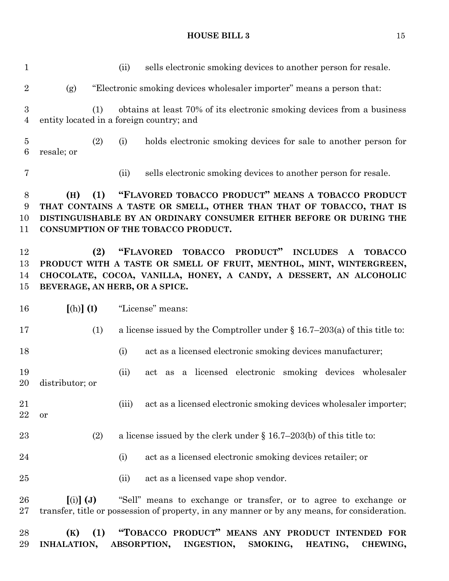(ii) sells electronic smoking devices to another person for resale. (g) "Electronic smoking devices wholesaler importer" means a person that: (1) obtains at least 70% of its electronic smoking devices from a business entity located in a foreign country; and (2) (i) holds electronic smoking devices for sale to another person for resale; or (ii) sells electronic smoking devices to another person for resale. **(H) (1) "FLAVORED TOBACCO PRODUCT" MEANS A TOBACCO PRODUCT THAT CONTAINS A TASTE OR SMELL, OTHER THAN THAT OF TOBACCO, THAT IS DISTINGUISHABLE BY AN ORDINARY CONSUMER EITHER BEFORE OR DURING THE CONSUMPTION OF THE TOBACCO PRODUCT. (2) "FLAVORED TOBACCO PRODUCT" INCLUDES A TOBACCO PRODUCT WITH A TASTE OR SMELL OF FRUIT, MENTHOL, MINT, WINTERGREEN, CHOCOLATE, COCOA, VANILLA, HONEY, A CANDY, A DESSERT, AN ALCOHOLIC BEVERAGE, AN HERB, OR A SPICE. [**(h)**] (I)** "License" means: (1) a license issued by the Comptroller under § 16.7–203(a) of this title to: (i) act as a licensed electronic smoking devices manufacturer; (ii) act as a licensed electronic smoking devices wholesaler distributor; or 21 (iii) act as a licensed electronic smoking devices wholesaler importer; or (2) a license issued by the clerk under § 16.7–203(b) of this title to: 24 (i) act as a licensed electronic smoking devices retailer; or 25 (ii) act as a licensed vape shop vendor. **[**(i)**] (J)** "Sell" means to exchange or transfer, or to agree to exchange or transfer, title or possession of property, in any manner or by any means, for consideration. **(K) (1) "TOBACCO PRODUCT" MEANS ANY PRODUCT INTENDED FOR INHALATION, ABSORPTION, INGESTION, SMOKING, HEATING, CHEWING,**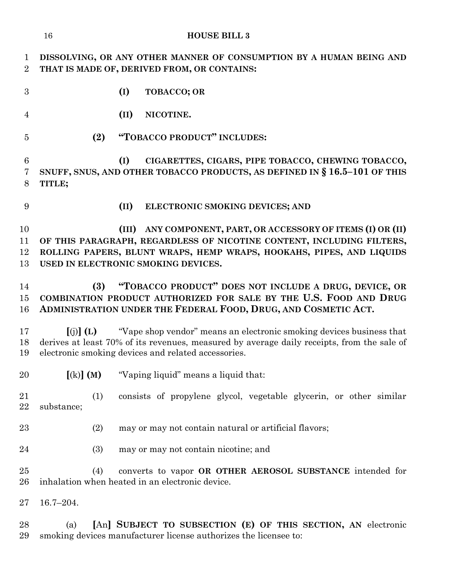|                               | <b>HOUSE BILL 3</b><br>16                                                                                                                                                                                                                            |
|-------------------------------|------------------------------------------------------------------------------------------------------------------------------------------------------------------------------------------------------------------------------------------------------|
| $\mathbf 1$<br>$\overline{2}$ | DISSOLVING, OR ANY OTHER MANNER OF CONSUMPTION BY A HUMAN BEING AND<br>THAT IS MADE OF, DERIVED FROM, OR CONTAINS:                                                                                                                                   |
| 3                             | (I)<br>TOBACCO; OR                                                                                                                                                                                                                                   |
| $\overline{4}$                | (II)<br>NICOTINE.                                                                                                                                                                                                                                    |
| $\overline{5}$                | "TOBACCO PRODUCT" INCLUDES:<br>(2)                                                                                                                                                                                                                   |
| 6<br>7<br>8                   | CIGARETTES, CIGARS, PIPE TOBACCO, CHEWING TOBACCO,<br>(I)<br>SNUFF, SNUS, AND OTHER TOBACCO PRODUCTS, AS DEFINED IN § 16.5-101 OF THIS<br>TITLE;                                                                                                     |
| 9                             | (II)<br>ELECTRONIC SMOKING DEVICES; AND                                                                                                                                                                                                              |
| 10<br>11<br>12<br>13          | (III) ANY COMPONENT, PART, OR ACCESSORY OF ITEMS (I) OR (II)<br>OF THIS PARAGRAPH, REGARDLESS OF NICOTINE CONTENT, INCLUDING FILTERS,<br>ROLLING PAPERS, BLUNT WRAPS, HEMP WRAPS, HOOKAHS, PIPES, AND LIQUIDS<br>USED IN ELECTRONIC SMOKING DEVICES. |
| 14<br>15<br>16                | "TOBACCO PRODUCT" DOES NOT INCLUDE A DRUG, DEVICE, OR<br>(3)<br>COMBINATION PRODUCT AUTHORIZED FOR SALE BY THE U.S. FOOD AND DRUG<br>ADMINISTRATION UNDER THE FEDERAL FOOD, DRUG, AND COSMETIC ACT.                                                  |
| 17<br>18<br>19                | "Vape shop vendor" means an electronic smoking devices business that<br>$(i)$ $(L)$<br>derives at least 70% of its revenues, measured by average daily receipts, from the sale of<br>electronic smoking devices and related accessories.             |
| 20                            | $[(k)]$ (M)<br>"Vaping liquid" means a liquid that:                                                                                                                                                                                                  |
| 21<br>22                      | (1)<br>consists of propylene glycol, vegetable glycerin, or other similar<br>substance;                                                                                                                                                              |
| 23                            | (2)<br>may or may not contain natural or artificial flavors;                                                                                                                                                                                         |
| 24                            | (3)<br>may or may not contain nicotine; and                                                                                                                                                                                                          |
| $25\,$<br>26                  | (4)<br>converts to vapor OR OTHER AEROSOL SUBSTANCE intended for<br>inhalation when heated in an electronic device.                                                                                                                                  |
| $27\,$                        | $16.7 - 204.$                                                                                                                                                                                                                                        |
| 28<br>29                      | [An] SUBJECT TO SUBSECTION (E) OF THIS SECTION, AN electronic<br>(a)<br>smoking devices manufacturer license authorizes the licensee to:                                                                                                             |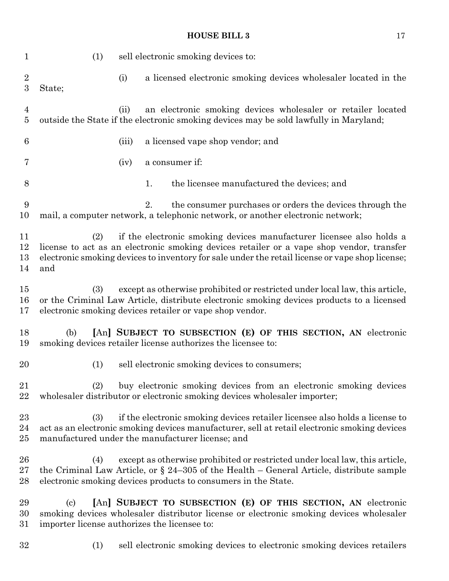| $\mathbf 1$                    | (1)<br>sell electronic smoking devices to:                                                                                                                                                                                                                                        |
|--------------------------------|-----------------------------------------------------------------------------------------------------------------------------------------------------------------------------------------------------------------------------------------------------------------------------------|
| $\sqrt{2}$<br>$\boldsymbol{3}$ | a licensed electronic smoking devices wholesaler located in the<br>(i)<br>State;                                                                                                                                                                                                  |
| $\overline{4}$<br>$\bf 5$      | an electronic smoking devices wholesaler or retailer located<br>(ii)<br>outside the State if the electronic smoking devices may be sold lawfully in Maryland;                                                                                                                     |
| 6                              | a licensed vape shop vendor; and<br>(iii)                                                                                                                                                                                                                                         |
| 7                              | a consumer if:<br>(iv)                                                                                                                                                                                                                                                            |
| 8                              | the licensee manufactured the devices; and<br>1.                                                                                                                                                                                                                                  |
| 9<br>10                        | the consumer purchases or orders the devices through the<br>2.<br>mail, a computer network, a telephonic network, or another electronic network;                                                                                                                                  |
| 11<br>12<br>13<br>14           | if the electronic smoking devices manufacturer licensee also holds a<br>(2)<br>license to act as an electronic smoking devices retailer or a vape shop vendor, transfer<br>electronic smoking devices to inventory for sale under the retail license or vape shop license;<br>and |
| 15<br>16<br>17                 | except as otherwise prohibited or restricted under local law, this article,<br>(3)<br>or the Criminal Law Article, distribute electronic smoking devices products to a licensed<br>electronic smoking devices retailer or vape shop vendor.                                       |
| 18<br>19                       | [An] SUBJECT TO SUBSECTION (E) OF THIS SECTION, AN electronic<br>(b)<br>smoking devices retailer license authorizes the licensee to:                                                                                                                                              |
| 20                             | sell electronic smoking devices to consumers;<br>(1)                                                                                                                                                                                                                              |
| 21<br>22                       | buy electronic smoking devices from an electronic smoking devices<br>(2)<br>wholesaler distributor or electronic smoking devices wholesaler importer;                                                                                                                             |
| 23<br>24<br>25                 | if the electronic smoking devices retailer licensee also holds a license to<br>(3)<br>act as an electronic smoking devices manufacturer, sell at retail electronic smoking devices<br>manufactured under the manufacturer license; and                                            |
| 26<br>27<br>28                 | except as otherwise prohibited or restricted under local law, this article,<br>(4)<br>the Criminal Law Article, or $\S$ 24–305 of the Health – General Article, distribute sample<br>electronic smoking devices products to consumers in the State.                               |
| 29<br>30<br>31                 | [An] SUBJECT TO SUBSECTION (E) OF THIS SECTION, AN electronic<br>$\left( \mathrm{c}\right)$<br>smoking devices wholesaler distributor license or electronic smoking devices wholesaler<br>importer license authorizes the licensee to:                                            |
| 32                             | sell electronic smoking devices to electronic smoking devices retailers<br>(1)                                                                                                                                                                                                    |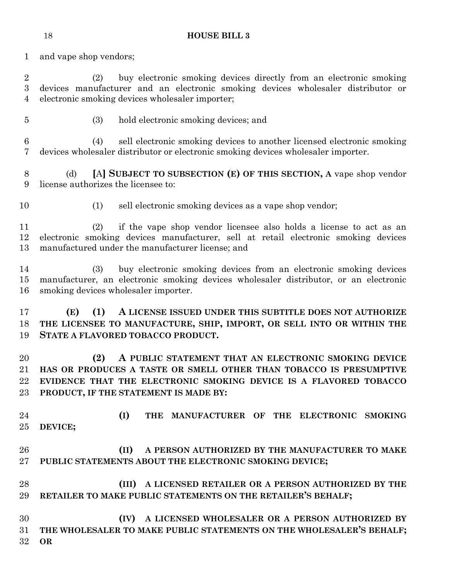and vape shop vendors;

 (2) buy electronic smoking devices directly from an electronic smoking devices manufacturer and an electronic smoking devices wholesaler distributor or electronic smoking devices wholesaler importer;

(3) hold electronic smoking devices; and

 (4) sell electronic smoking devices to another licensed electronic smoking devices wholesaler distributor or electronic smoking devices wholesaler importer.

 (d) **[**A**] SUBJECT TO SUBSECTION (E) OF THIS SECTION, A** vape shop vendor license authorizes the licensee to:

(1) sell electronic smoking devices as a vape shop vendor;

 (2) if the vape shop vendor licensee also holds a license to act as an electronic smoking devices manufacturer, sell at retail electronic smoking devices manufactured under the manufacturer license; and

 (3) buy electronic smoking devices from an electronic smoking devices manufacturer, an electronic smoking devices wholesaler distributor, or an electronic smoking devices wholesaler importer.

 **(E) (1) A LICENSE ISSUED UNDER THIS SUBTITLE DOES NOT AUTHORIZE THE LICENSEE TO MANUFACTURE, SHIP, IMPORT, OR SELL INTO OR WITHIN THE STATE A FLAVORED TOBACCO PRODUCT.**

 **(2) A PUBLIC STATEMENT THAT AN ELECTRONIC SMOKING DEVICE HAS OR PRODUCES A TASTE OR SMELL OTHER THAN TOBACCO IS PRESUMPTIVE EVIDENCE THAT THE ELECTRONIC SMOKING DEVICE IS A FLAVORED TOBACCO PRODUCT, IF THE STATEMENT IS MADE BY:**

 **(I) THE MANUFACTURER OF THE ELECTRONIC SMOKING DEVICE;**

# **(II) A PERSON AUTHORIZED BY THE MANUFACTURER TO MAKE PUBLIC STATEMENTS ABOUT THE ELECTRONIC SMOKING DEVICE;**

- **(III) A LICENSED RETAILER OR A PERSON AUTHORIZED BY THE RETAILER TO MAKE PUBLIC STATEMENTS ON THE RETAILER'S BEHALF;**
- **(IV) A LICENSED WHOLESALER OR A PERSON AUTHORIZED BY THE WHOLESALER TO MAKE PUBLIC STATEMENTS ON THE WHOLESALER'S BEHALF; OR**